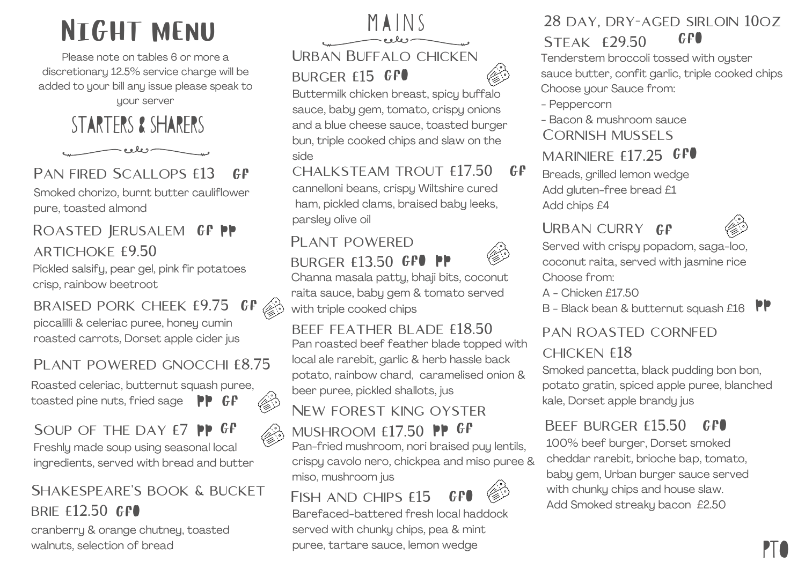# Night menu

Please note on tables 6 or more a discretionary 12.5% service charge will be added to your bill any issue please speak to uour server

STARTERS & sharers



#### PAN FIRED SCALLOPS  $f13$  $\mathcal{C}$  $\mathcal{F}$

Smoked chorizo, burnt butter cauliflower pure, toasted almond

#### Roasted Jerusalem gf pp artichoke £9.50

Pickled salsify, pear gel, pink fir potatoes crisp, rainbow beetroot

braised pork cheek £9.75 gf l proc piccalilli & celeriac puree, honey cumin roasted carrots, Dorset apple cider jus

#### PLANT POWERED GNOCCHI £8.75

Roasted celeriac, butternut squash puree, toasted pine nuts, fried sage  $\mathsf{PP}$  GP



#### Soup of the day £7 pp GP

Freshly made soup using seasonal local ingredients, served with bread and butter

#### SHAKESPEARE'S BOOK & BUCKET BRIE £12.50 GFO

cranberry & orange chutney, toasted walnuts, selection of bread



Buttermilk chicken breast, spicy buffalo sauce, baby gem, tomato, crispy onions and a blue cheese sauce, toasted burger bun, triple cooked chips and slaw on the side

chalksteam trout £17.50 cannelloni beans, crispy Wiltshire cured ham, pickled clams, braised baby leeks, parsley olive oil  $GF$ 

# PI ANT POWERED



Channa masala patty, bhaji bits, coconut raita sauce, baby gem & tomato served with triple cooked chips **BURGER £13.50 GPO PP** 

beef feather blade £18.50 Pan roasted beef feather blade topped with local ale rarebit, garlic & herb hassle back potato, rainbow chard, caramelised onion &

## New forest king oyster

# mushroom £17.50 PP GP

beer puree, pickled shallots, jus

Pan-fried mushroom, nori braised puy lentils, crispy cavolo nero, chickpea and miso puree & miso, mushroom jus

FISH AND CHIPS  $f15$ gfO

Barefaced-battered fresh local haddock served with chunky chips, pea & mint puree, tartare sauce, lemon wedge

#### 28 day, dry-aged sirloin 10oz Steak £29.50 GFO

Tenderstem broccoli tossed with oyster sauce butter, confit garlic, triple cooked chips Choose your Sauce from:

- Peppercorn
- Bacon & mushroom sauce
- CORNISH MUSSELS
- MARINIERE  $E17.25$  GPO

Breads, grilled lemon wedge Add gluten-free bread £1 Add chips £4

### URBAN CURRY GP



Served with crispy popadom, saga-loo, coconut raita, served with jasmine rice Choose from:

- A Chicken £17.50
- B Black bean & butternut squash £16  $\mathsf{PP}$

#### pan roasted cornfed

#### chicken £18

Smoked pancetta, black pudding bon bon, potato gratin, spiced apple puree, blanched kale, Dorset apple brandy jus

#### BEEF BURGER £15.50 gfO

100% beef burger, Dorset smoked cheddar rarebit, brioche bap, tomato, baby gem, Urban burger sauce served with chunky chips and house slaw. Add Smoked streaky bacon £2.50